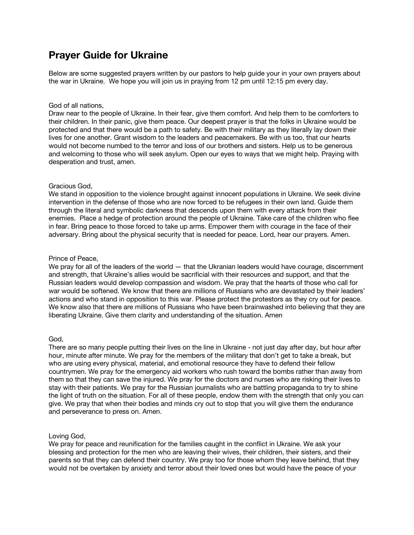# **Prayer Guide for Ukraine**

Below are some suggested prayers written by our pastors to help guide your in your own prayers about the war in Ukraine. We hope you will join us in praying from 12 pm until 12:15 pm every day.

#### God of all nations,

Draw near to the people of Ukraine. In their fear, give them comfort. And help them to be comforters to their children. In their panic, give them peace. Our deepest prayer is that the folks in Ukraine would be protected and that there would be a path to safety. Be with their military as they literally lay down their lives for one another. Grant wisdom to the leaders and peacemakers. Be with us too, that our hearts would not become numbed to the terror and loss of our brothers and sisters. Help us to be generous and welcoming to those who will seek asylum. Open our eyes to ways that we might help. Praying with desperation and trust, amen.

## Gracious God,

We stand in opposition to the violence brought against innocent populations in Ukraine. We seek divine intervention in the defense of those who are now forced to be refugees in their own land. Guide them through the literal and symbolic darkness that descends upon them with every attack from their enemies. Place a hedge of protection around the people of Ukraine. Take care of the children who flee in fear. Bring peace to those forced to take up arms. Empower them with courage in the face of their adversary. Bring about the physical security that is needed for peace. Lord, hear our prayers. Amen.

## Prince of Peace,

We pray for all of the leaders of the world — that the Ukranian leaders would have courage, discernment and strength, that Ukraine's allies would be sacrificial with their resources and support, and that the Russian leaders would develop compassion and wisdom. We pray that the hearts of those who call for war would be softened. We know that there are millions of Russians who are devastated by their leaders' actions and who stand in opposition to this war. Please protect the protestors as they cry out for peace. We know also that there are millions of Russians who have been brainwashed into believing that they are liberating Ukraine. Give them clarity and understanding of the situation. Amen

#### God,

There are so many people putting their lives on the line in Ukraine - not just day after day, but hour after hour, minute after minute. We pray for the members of the military that don't get to take a break, but who are using every physical, material, and emotional resource they have to defend their fellow countrymen. We pray for the emergency aid workers who rush toward the bombs rather than away from them so that they can save the injured. We pray for the doctors and nurses who are risking their lives to stay with their patients. We pray for the Russian journalists who are battling propaganda to try to shine the light of truth on the situation. For all of these people, endow them with the strength that only you can give. We pray that when their bodies and minds cry out to stop that you will give them the endurance and perseverance to press on. Amen.

#### Loving God,

We pray for peace and reunification for the families caught in the conflict in Ukraine. We ask your blessing and protection for the men who are leaving their wives, their children, their sisters, and their parents so that they can defend their country. We pray too for those whom they leave behind, that they would not be overtaken by anxiety and terror about their loved ones but would have the peace of your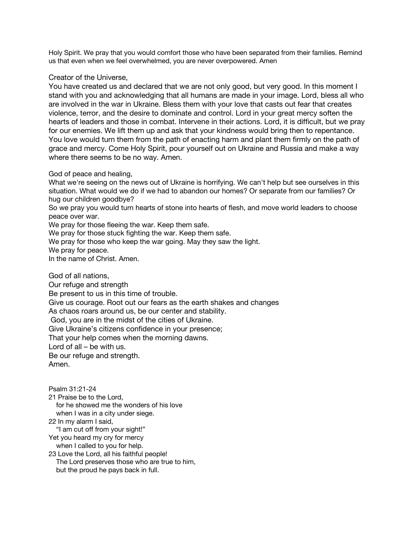Holy Spirit. We pray that you would comfort those who have been separated from their families. Remind us that even when we feel overwhelmed, you are never overpowered. Amen

## Creator of the Universe,

You have created us and declared that we are not only good, but very good. In this moment I stand with you and acknowledging that all humans are made in your image. Lord, bless all who are involved in the war in Ukraine. Bless them with your love that casts out fear that creates violence, terror, and the desire to dominate and control. Lord in your great mercy soften the hearts of leaders and those in combat. Intervene in their actions. Lord, it is difficult, but we pray for our enemies. We lift them up and ask that your kindness would bring then to repentance. You love would turn them from the path of enacting harm and plant them firmly on the path of grace and mercy. Come Holy Spirit, pour yourself out on Ukraine and Russia and make a way where there seems to be no way. Amen.

## God of peace and healing,

What we're seeing on the news out of Ukraine is horrifying. We can't help but see ourselves in this situation. What would we do if we had to abandon our homes? Or separate from our families? Or hug our children goodbye?

So we pray you would turn hearts of stone into hearts of flesh, and move world leaders to choose peace over war.

We pray for those fleeing the war. Keep them safe.

We pray for those stuck fighting the war. Keep them safe.

We pray for those who keep the war going. May they saw the light.

We pray for peace.

In the name of Christ. Amen.

God of all nations, Our refuge and strength Be present to us in this time of trouble. Give us courage. Root out our fears as the earth shakes and changes As chaos roars around us, be our center and stability. God, you are in the midst of the cities of Ukraine. Give Ukraine's citizens confidence in your presence; That your help comes when the morning dawns. Lord of all – be with us. Be our refuge and strength. Amen.

Psalm 31:21-24 21 Praise be to the Lord, for he showed me the wonders of his love when I was in a city under siege. 22 In my alarm I said, "I am cut off from your sight!" Yet you heard my cry for mercy when I called to you for help. 23 Love the Lord, all his faithful people! The Lord preserves those who are true to him, but the proud he pays back in full.